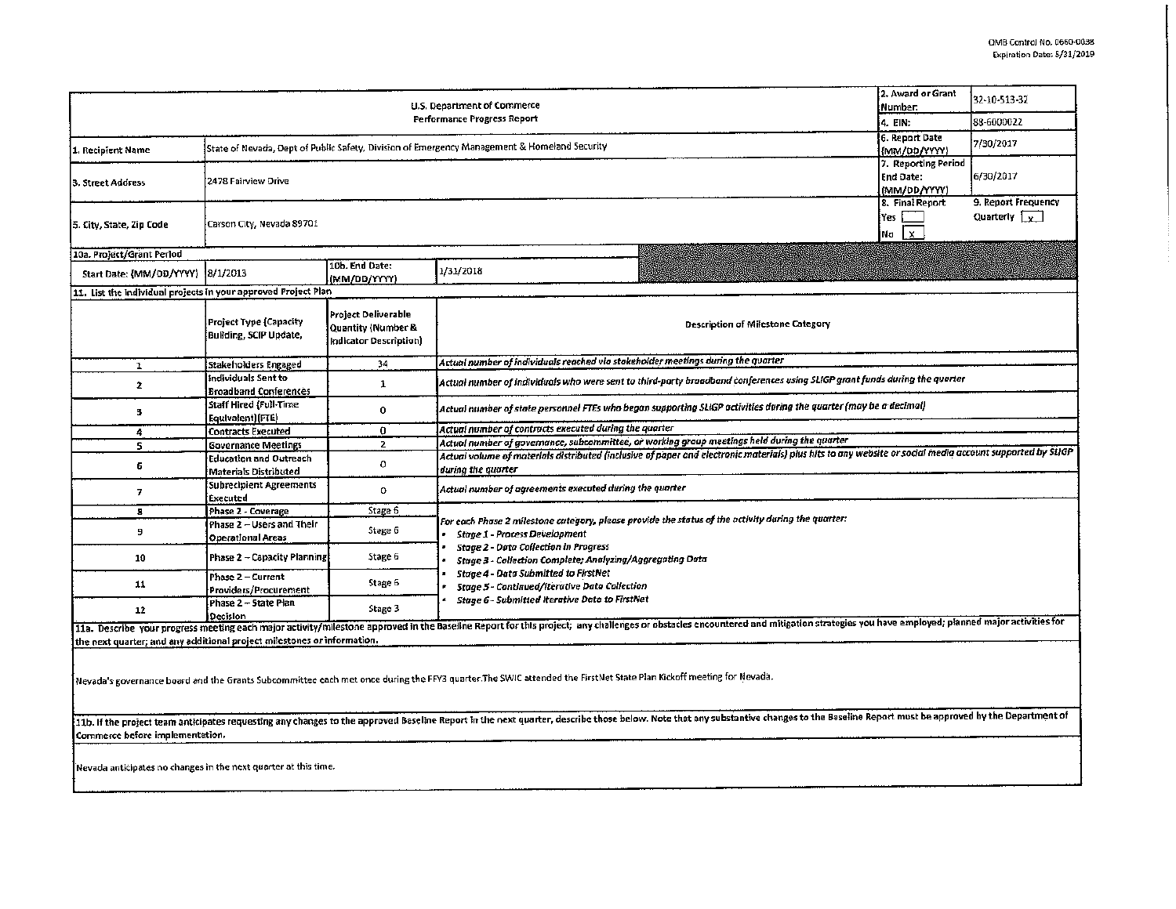|                                                                         | 2. Award or Grant<br>Number:                                                                 | 32-10-513-32                                                        |                                                                                                                                                                                                                                                                                                                                                                                                                  |  |  |  |  |  |  |
|-------------------------------------------------------------------------|----------------------------------------------------------------------------------------------|---------------------------------------------------------------------|------------------------------------------------------------------------------------------------------------------------------------------------------------------------------------------------------------------------------------------------------------------------------------------------------------------------------------------------------------------------------------------------------------------|--|--|--|--|--|--|
|                                                                         | i4. EIN:                                                                                     | 88-6000022                                                          |                                                                                                                                                                                                                                                                                                                                                                                                                  |  |  |  |  |  |  |
| 1. Recipient Name                                                       | State of Nevada, Dept of Public Safety, Division of Emergency Management & Homeland Security | 6. Report Date<br>{{MM/DD/YYYY}                                     | 7/30/2017                                                                                                                                                                                                                                                                                                                                                                                                        |  |  |  |  |  |  |
| 3. Street Address                                                       | 2478 Fairview Drive                                                                          | 7. Reporting Period<br>End Date:<br>(MM/DD/YYYY)                    | 6/30/2017                                                                                                                                                                                                                                                                                                                                                                                                        |  |  |  |  |  |  |
| 5. City, State, Zip Code                                                | Carson City, Nevada 89701                                                                    | 8. Final Report<br>lYes.<br>$\mathbf{x}$<br> Na                     | 9. Report Frequency<br>Quarterly $\sqrt{x}$                                                                                                                                                                                                                                                                                                                                                                      |  |  |  |  |  |  |
| 10a. Project/Grant Perlod                                               |                                                                                              |                                                                     |                                                                                                                                                                                                                                                                                                                                                                                                                  |  |  |  |  |  |  |
| Start Date: {MM/OD/YYYY} 3/1/2013                                       |                                                                                              | 10b. End Date:<br>(MM/DD/YYYY)                                      | 1/31/2018                                                                                                                                                                                                                                                                                                                                                                                                        |  |  |  |  |  |  |
| 11. List the individual projects in your approved Project Plan          |                                                                                              |                                                                     |                                                                                                                                                                                                                                                                                                                                                                                                                  |  |  |  |  |  |  |
|                                                                         | Project Type (Capacity<br>Building, SCIP Update,                                             | Project Deliverable<br>Quantity (Number &<br>Indicator Description) | Description of Milestone Category                                                                                                                                                                                                                                                                                                                                                                                |  |  |  |  |  |  |
| 1                                                                       | Stakeholders Engaged                                                                         | 34                                                                  | Actual number of individuals reached via stakeholder meetings during the quarter                                                                                                                                                                                                                                                                                                                                 |  |  |  |  |  |  |
| $\mathbf{z}$                                                            | individuals Sent to<br><b>Broadband Conferences</b>                                          | 1                                                                   | Actual number of individuals who were sent to third-party braadband conferences using SLIGP grant funds during the quarter                                                                                                                                                                                                                                                                                       |  |  |  |  |  |  |
| 3                                                                       | <b>Staff Hired (Full-Time</b><br>Equivatent)(FTE)                                            | $\bf{0}$                                                            | Actual number of state personnel FTEs who began supporting SLIGP activities during the quarter (may be a decimal)                                                                                                                                                                                                                                                                                                |  |  |  |  |  |  |
| 4                                                                       | <b>Contracts Executed</b>                                                                    | 0                                                                   | Actual number of contracts executed during the quarter                                                                                                                                                                                                                                                                                                                                                           |  |  |  |  |  |  |
| 5                                                                       | <b>Governance Meetings</b>                                                                   | $\overline{2}$                                                      | Actual number of governance, subcommittee, or working group meetings held during the quarter                                                                                                                                                                                                                                                                                                                     |  |  |  |  |  |  |
| 6                                                                       | <b>Education and Outreach</b><br>Materiais Distributed                                       | o                                                                   | Actual volume of materials distributed (inclusive of paper and electronic materials) plus hits to any website or social media account supported by SLIGP<br>during the quarter                                                                                                                                                                                                                                   |  |  |  |  |  |  |
| 7                                                                       | Subrecipient Agreements<br>Executed                                                          | 0                                                                   | Actual number of agreements executed during the quarter                                                                                                                                                                                                                                                                                                                                                          |  |  |  |  |  |  |
| 8                                                                       | Phase 2 - Coverage                                                                           | Stage 6                                                             |                                                                                                                                                                                                                                                                                                                                                                                                                  |  |  |  |  |  |  |
| 9                                                                       | Phase 2 - Users and Their<br>Operational Areas                                               | Stage 6                                                             | For each Phase 2 milestone category, please provide the status of the activity during the quarter:<br><b>Stage 1 - Process Development</b><br><b>Stage 2 - Data Collection in Progress</b><br>Stage 3 - Collection Complete; Analyzing/Aggregating Data<br><b>Stage 4 - Data Submitted to FirstNet</b><br>Stage 5 - Continued/Iterative Data Collection<br><b>Stage 6 - Submitted Iterative Data to FirstNet</b> |  |  |  |  |  |  |
| 10                                                                      | Phase 2 - Capacity Planning                                                                  | Stage 6                                                             |                                                                                                                                                                                                                                                                                                                                                                                                                  |  |  |  |  |  |  |
| 11                                                                      | Phase 2 - Current<br>Providers/Procurement                                                   | Stage 6                                                             |                                                                                                                                                                                                                                                                                                                                                                                                                  |  |  |  |  |  |  |
| 12                                                                      | Phase 2 - State Plan<br>Decision                                                             | Stage 3                                                             |                                                                                                                                                                                                                                                                                                                                                                                                                  |  |  |  |  |  |  |
| the next quarter; and any additional project milestones or information. |                                                                                              |                                                                     | 11a. Describe your progress meeting each major activity/milestone approved in the Baseline Report for this project; any challenges or obstacles encountered and mitigation strategies you have employed; planned major activit                                                                                                                                                                                   |  |  |  |  |  |  |

.<br>|Nevada's governance board and the Grants Subcommittee each met once during the FFY3 quarter.The SWIC attended the FirstNet State Plan Kickoff meeting for Nevada.

11b. If the project team anticipates requesting any changes to the approved Baseline Report in the next quarter, describe those below. Note that any substantive changes to the Baseline Report must be approved by the Depart Commerce before implementation.

Nevada anticipates no changes in the next quarter at this time.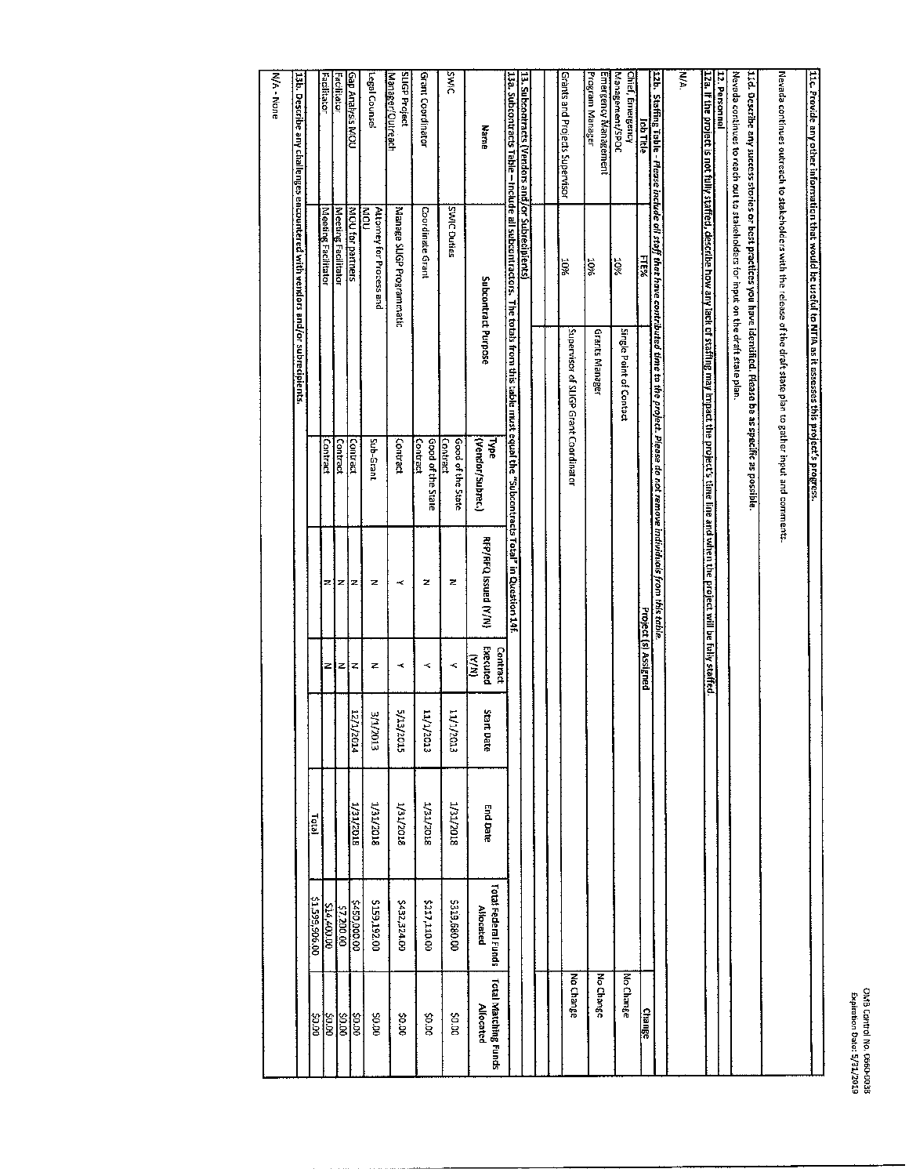| 11c. Provide any other information that would be useful to NTIA as it assesses this project's progress.                                                                                                                                                                                                                                                                                               |  |
|-------------------------------------------------------------------------------------------------------------------------------------------------------------------------------------------------------------------------------------------------------------------------------------------------------------------------------------------------------------------------------------------------------|--|
|                                                                                                                                                                                                                                                                                                                                                                                                       |  |
| Nevada continues outreach to stakeholders with the release of the draft state plan to gather input and comments                                                                                                                                                                                                                                                                                       |  |
| Nevada continues to reach out to stakeholders for input on the draft state plan.<br>11d. Describe any success stories or best practices you have identified. Please be as specific as possible.                                                                                                                                                                                                       |  |
| 12. Personnel                                                                                                                                                                                                                                                                                                                                                                                         |  |
| .<br>122a. If the project is not fully staffed, describe how any lack of stafing may impact the projects time ine and when the project will be fully staffed.                                                                                                                                                                                                                                         |  |
| WA:                                                                                                                                                                                                                                                                                                                                                                                                   |  |
| 12b. Staffing table - Please include all staff that have contributed time to the project. Please do not remove individuals from this table.                                                                                                                                                                                                                                                           |  |
| Job Title<br>FTE%<br>Project (s) Assigned<br><b>Change</b>                                                                                                                                                                                                                                                                                                                                            |  |
| Management/SPOC<br>Chief, Emergency<br>10%<br>Single Point of Contact<br>No Change                                                                                                                                                                                                                                                                                                                    |  |
| Program Manager<br>Emergency Management<br>20%<br>Grants Manager<br>No Change                                                                                                                                                                                                                                                                                                                         |  |
| <b>Grants and Projects Supervisor</b><br><b>NOX</b><br>Supervisor of SLIGP Grant Coordinator<br>No Change                                                                                                                                                                                                                                                                                             |  |
|                                                                                                                                                                                                                                                                                                                                                                                                       |  |
| 13. Subcontracts (Vendors and/or Subrecipients)                                                                                                                                                                                                                                                                                                                                                       |  |
| 13a. Subcontracts Table - Include all subcontractors. The totals from this table must equal the "Subcontracts Total" in Question 1.4f.<br>Marne<br>Subcontract Purpose<br>(Vendor/Subrec.)<br>Type<br><b>RFP/RFQ Issued (Y/N)</b><br>Executed<br>Contract<br>$\sum_{i=1}^{n}$<br><b>Start Date</b><br>End Date<br>Total Federal Funds<br><b>Allocated</b><br>Total Matching Funds<br><b>Allocated</b> |  |
| <b>DIMIC</b><br><b>SWIC Duties</b><br>Good of the State<br>Contract<br>z<br>k<br>ετοε/τ/τι<br>1/31/2018<br>5319,680.00<br>po p\$                                                                                                                                                                                                                                                                      |  |
| Grant Coordinator<br><b>Coordinate Grant</b><br>Contract<br>Good of the State<br>z<br>$\prec$<br>τιοτ/τ/ττ<br><b>RIGITELT</b><br>2217,110.00<br>00.02                                                                                                                                                                                                                                                 |  |
| <b>SLIGP Project</b><br>Manager/Outreach<br>Manage SLIGP Programmatic<br>Contract<br>ĸ<br>≺<br>staz/et/s<br>1/31/2018<br>\$432,324.00<br>00'0\$                                                                                                                                                                                                                                                       |  |
| Legal Counse<br>Attorney for Process and<br>nom-<br>Sub-Grant<br>z<br>z<br>ETOZ/T/E<br>Liat/zon8<br>\$159,192.00<br>00.02                                                                                                                                                                                                                                                                             |  |
| Gap Analysis MOU<br>MOU for partners<br>Contract<br>z<br>z<br><b>HOSITS</b><br><b>SI/2018</b><br>\$450,000.00<br>aa.oo                                                                                                                                                                                                                                                                                |  |
| Facilitator<br>Meeting Facilitator<br>Contract<br>z<br>z<br>0000215<br>90.00                                                                                                                                                                                                                                                                                                                          |  |
| Facilitator<br>Meeting Facilitator<br>Contract<br>z<br>Z<br>Total<br>00:906:665.15<br>00.00 415<br>poros<br>0.00                                                                                                                                                                                                                                                                                      |  |
| $13\mathrm{b}$ . Describe any challenges encountered with vendors and/or subrecipients.                                                                                                                                                                                                                                                                                                               |  |
| N/A - None                                                                                                                                                                                                                                                                                                                                                                                            |  |

a construction of the community